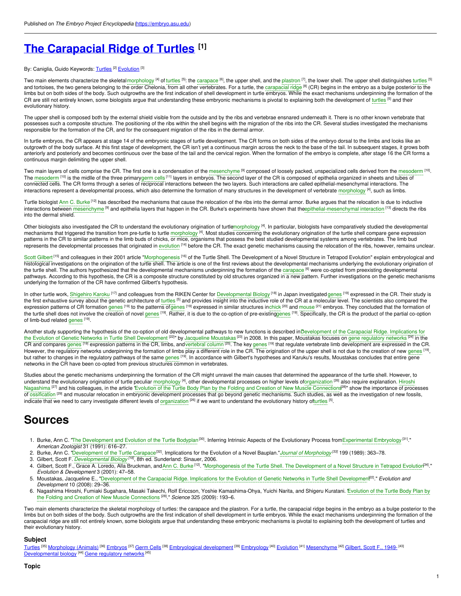# **The [Carapacial](https://embryo.asu.edu/pages/carapacial-ridge-turtles) Ridge of Turtles [1]**

#### By: Caniglia, Guido Keywords: <mark>[Turtles](https://embryo.asu.edu/keywords/turtles) <sup>[2]</sup> [Evolution](https://embryo.asu.edu/keywords/evolution)</mark> <sup>[3]</sup>

Two main elements characterize the skeletal[morphology](https://embryo.asu.edu/search?text=morphology) <sup>[4]</sup> of [turtles](https://embryo.asu.edu/search?text=turtles) <sup>[5]</sup>: the [carapace](https://embryo.asu.edu/search?text=carapace) <sup>[6]</sup>, the upper shell, and the [plastron](https://embryo.asu.edu/search?text=plastron) <sup>[7]</sup>, the lower shell. The upper shell distinguishes turtles <sup>[5]</sup>. and tortoises, the two genera belonging to the order Chelonia, from all other vertebrates. For a turtle, the [carapacial](https://embryo.asu.edu/search?text=carapacial%20ridge) ridge <sup>[8]</sup> (CR) begins in the embryo as a bulge posterior to the limbs but on both sides of the body. Such outgrowths are the first indication of shell development in turtle embryos. While the exact mechanisms underpinning the formation of the CR are still not entirely known, some biologists argue that understanding these embryonic mechanisms is pivotal to explaining both the development of [turtles](https://embryo.asu.edu/search?text=turtles) [5] and their evolutionary history.

The upper shell is composed both by the external shield visible from the outside and by the ribs and vertebrae ensnared underneath it. There is no other known vertebrate that possesses such a composite structure. The positioning of the ribs within the shell begins with the migration of the ribs into the CR. Several studies investigated the mechanisms responsible for the formation of the CR, and for the consequent migration of the ribs in the dermal armor.

In turtle embryos, the CR appears at stage 14 of the embryonic stages of turtle development. The CR forms on both sides of the embryo dorsal to the limbs and looks like an outgrowth of the body surface. At this first stage of development, the CR isn't yet a continuous margin across the neck to the base of the tail. In subsequent stages, it grows both anteriorly and posteriorly and becomes continuous over the base of the tail and the cervical region. When the formation of the embryo is complete, after stage 16 the CR forms a continuous margin delimiting the upper shell.

Two main layers of cells comprise the CR. The first one is a condensation of the [mesenchyme](https://embryo.asu.edu/search?text=mesenchyme) <sup>[9]</sup> composed of loosely packed, unspecialized cells derived from the [mesoderm](https://embryo.asu.edu/search?text=mesoderm) <sup>[10]</sup>. The [mesoderm](https://embryo.asu.edu/search?text=mesoderm) <sup>[10]</sup> is the midlle of the three primary[germ](https://embryo.asu.edu/search?text=germ%20cells) cells <sup>[11]</sup> layers in embryos. The second layer of the CR is composed of epithelia organized in sheets and tubes of connected cells. The CR forms through a series of reciprocal interactions between the two layers. Such interactions are called epithelial-mesenchymal interactions. The interactions represent a developmental process, which also determine the formation of many structures in the development of vertebrate [morphology](https://embryo.asu.edu/search?text=morphology) <sup>[4]</sup>, such as limbs.

Turtle biologist Ann C. [Burke](https://embryo.asu.edu/search?text=Ann%20C.%20Burke)<sup>(12)</sup> has described the mechanisms that cause the relocation of the ribs into the dermal armor. Burke argues that the relocation is due to inductive interactions between [mesenchyme](https://embryo.asu.edu/search?text=mesenchyme) <sup>ig</sup>l and epithelia layers that happen in the CR. Burke's experiments have shown that th[eepithelial-mesenchymal](https://embryo.asu.edu/search?text=epithelial-mesenchymal%20interaction) interaction <sup>[13]</sup> directs the ribs into the dermal shield.

Other biologists also investigated the CR to understand the evolutionary origination of turtl[emorphology](https://embryo.asu.edu/search?text=morphology) <sup>[4]</sup>. In particular, biologists have comparatively studied the developmental mechanisms that triggered the transition from pre-turtle to turtle [morphology](https://embryo.asu.edu/search?text=morphology) <sup>[4]</sup>. Most studies concerning the evolutionary origination of the turtle shell compare gene expression patterns in the CR to similar patterns in the limb buds of chicks, or mice, organisms that possess the best studied developmental systems among vertebrates. The limb bud represents the developmental processes that originated in [evolution](https://embryo.asu.edu/search?text=evolution) <sup>[14]</sup> before the CR. The exact genetic mechanisms causing the relocation of the ribs, however, remains unclear.

Scott [Gilbert](https://embryo.asu.edu/search?text=Scott%20Gilbert)<sup>[15]</sup> and colleagues in their 2001 article ["Morphogenesis](https://embryo.asu.edu/search?text=Morphogenesis) <sup>[16]</sup> of the Turtle Shell. The Development of a Novel Structure in Tetrapod Evolution" explain embryological and histological investigations on the origination of the turtle shell. The article is one of the first reviews about the developmental mechanisms underlying the evolutionary origination of the turtle shell. The authors hypothesized that the developmental mechanisms underpinning the formation of the [carapace](https://embryo.asu.edu/search?text=carapace) <sup>[6]</sup> were co-opted from preexisting developmental pathways. According to this hypothesis, the CR is a composite structure constituted by old structures organized in a new pattern. Further investigations on the genetic mechanisms underlying the formation of the CR have confirmed Gilbert's hypothesis.

In other turtle work, [Shigehiro](https://embryo.asu.edu/search?text=Shigehiro%20Karoku) Karoku <sup>(17]</sup> and colleagues from the RIKEN Center for [Developmental](https://embryo.asu.edu/search?text=Developmental%20Biology) Biology <sup>[18]</sup> in Japan investigated [genes](https://embryo.asu.edu/search?text=genes) <sup>[19]</sup> expressed in the CR. Their study is the first exhaustive survey about the genetic architecture of [turtles](https://embryo.asu.edu/search?text=turtles) <sup>[5]</sup> and provides insight into the inductive role of the CR at a molecular level. The scientists also compared the expression patterns of CR formation [genes](https://embryo.asu.edu/search?text=genes) <sup>[19]</sup> to the patterns o[fgenes](https://embryo.asu.edu/search?text=genes) <sup>[19]</sup> expressed in similar structures i[nchick](https://embryo.asu.edu/search?text=chick) <sup>[20]</sup> and [mouse](https://embryo.asu.edu/search?text=mouse) <sup>[21]</sup> embryos. They concluded that the formation of the turtle shell does not involve the creation of novel [genes](https://embryo.asu.edu/search?text=genes) <sup>[19]</sup>. Rather, it is due to the co-option of pre-existin[ggenes](https://embryo.asu.edu/search?text=genes) <sup>[19]</sup>. Specifically, the CR is the product of the partial co-option of limb-bud related [genes](https://embryo.asu.edu/search?text=genes) [19].

Another study supporting the hypothesis of the co-option of old developmental pathways to new functions is described inDevelopment of the Carapacial Ridge. Implications for the Evolution of Genetic Networks in Turtle Shell Development <sup>[22]</sup>" by [Jacqueline](https://embryo.asu.edu/search?text=Jacqueline%20Moustakas) Moustakas <sup>[23]</sup> in 2008. In this paper, Moustakas focuses on gene [regulatory](https://embryo.asu.edu/search?text=gene%20regulatory%20networks) networks <sup>[24]</sup> in the CR and compares [genes](https://embryo.asu.edu/search?text=genes) <sup>[19]</sup> expression patterns in the CR, limbs, and[vertebral](https://embryo.asu.edu/search?text=vertebral%20column) column<sup>[25]</sup>. The key genes <sup>[19]</sup> that regulate vertebrate limb development are expressed in the CR. However, the regulatory networks underpinning the formation of limbs play a different role in the CR. The origination of the upper shell is not due to the creation of new [genes](https://embryo.asu.edu/search?text=genes) [19], but rather to changes in the regulatory pathways of the same [genes](https://embryo.asu.edu/search?text=genes) <sup>[19]</sup>. In accordance with Gilbert's hypotheses and Karuku's results, Moustakas concludes that entire gene networks in the CR have been co-opted from previous structures common in vertebrates.

Studies about the genetic mechanisms underpinning the formation of the CR might unravel the main causes that determined the appearance of the turtle shell. However, to understand the evolutionary origination of turtle peculiar [morphology](https://embryo.asu.edu/search?text=morphology) <sup>[4]</sup>, other [developmental](https://embryo.asu.edu/search?text=Hiroshi%20Nagashima) processes on higher levels o[forganization](https://embryo.asu.edu/search?text=organization) <sup>[26]</sup> also require explanation. Hiroshi Nagashima <sup>pz</sup>l and his colleagues, in the article 'Evolution of the Turtle Body Plan by the Folding and Creation of New Muscle [Connection](https://embryo.asu.edu/search?text=Evolution%20of%20the%20Turtle%20Body%20Plan%20by%20the%20Folding%20and%20Creation%20of%20New%20Muscle%20Connections)s<sup>28]</sup>" show the importance of processes of [ossification](https://embryo.asu.edu/search?text=ossification) <sup>[29]</sup> and muscular relocation in embryonic development processes that go beyond genetic mechanisms. Such studies, as well as the investigation of new fossils, indicate that we need to carry investigate different levels of [organization](https://embryo.asu.edu/search?text=organization) <sup>[26]</sup> if we want to understand the evolutionary history o[fturtles](https://embryo.asu.edu/search?text=turtles) <sup>[5]</sup>.

## **Sources**

- 1. Burke, Ann C. "The [Development](https://embryo.asu.edu/search?text=The%20Development%20and%20Evolution%20of%20the%20Turtle%20Bodyplan) and Evolution of the Turtle Bodyplan<sup>[30]</sup>. Inferring Intrinsic Aspects of the Evolutionary Process fro[mExperimental](https://embryo.asu.edu/search?text=Experimental%20Embryology) Embryology<sup>[31]</sup>." *American Zoologist* 31 (1991): 616–27.
- 2. Burke, Ann C. ["Development](https://embryo.asu.edu/search?text=Development%20of%20the%20Turtle%20Carapace) of the Turtle Carapace [32]. Implications for the Evolution of a Novel Bauplan."*Journal of [Morphology](https://embryo.asu.edu/search?text=Journal%20of%20Morphology) [33]* 199 (1989): 363–78.
- 3. Gilbert, Scott F. *[Developmental](https://embryo.asu.edu/search?text=Developmental%20Biology) Biology [18]*, 8th ed. Sunderland: Sinauer, 2006.
- 4. Gilbert, Scott F., Grace A. Loredo, Alla Bruckman, andAnn C. [Burke](https://embryo.asu.edu/search?text=Ann%20C.%20Burke)<sup>[12]</sup>. "[Morphogenesis](https://embryo.asu.edu/search?text=Morphogenesis%20of%20the%20Turtle%20Shell.%20The%20Development%20of%20a%20Novel%20Structure%20in%20Tetrapod%20Evolution) of the Turtle Shell. The Development of a Novel Structure in Tetrapod Evolution<sup>34]</sup>." *Evolution & Development* 3 (2001): 47–58.
- 5. Moustakas, Jacqueline E., ["Development](https://embryo.asu.edu/search?text=Development%20of%20the%20Carapacial%20Ridge.%20Implications%20for%20the%20Evolution%20of%20Genetic%20Networks%20in%20Turtle%20Shell%20Development) of the Carapacial Ridge. Implications for the Evolution of Genetic Networks in Turtle Shell Development [22]." *Evolution and Development* 10 (2008): 29–36.
- 6. Nagashima Hiroshi, Fumiaki Sugahara, Masaki Takechi, Rolf Ericcson, Yoshie [Kamashima-Ohya,](https://embryo.asu.edu/search?text=Evolution%20of%20the%20Turtle%20Body%20Plan%20by%20the%20Folding%20and%20Creation%20of%20New%20Muscle%20Connections) Yuichi Narita, and Shigeru Kuratani. Evolution of the Turtle Body Plan by the Folding and Creation of New Muscle Connections [28]." *Science* 325 (2009): 193–6.

Two main elements characterize the skeletal morphology of turtles: the carapace and the plastron. For a turtle, the carapacial ridge begins in the embryo as a bulge posterior to the limbs but on both sides of the body. Such outgrowths are the first indication of shell development in turtle embryos. While the exact mechanisms underpinning the formation of the carapacial ridge are still not entirely known, some biologists argue that understanding these embryonic mechanisms is pivotal to explaining both the development of turtles and their evolutionary history.

#### **Subject**

[Turtles](https://embryo.asu.edu/library-congress-subject-headings/turtles) <sup>[35]</sup> [Morphology](https://embryo.asu.edu/library-congress-subject-headings/morphology-animals) (Animals) <sup>[36]</sup> [Embryos](https://embryo.asu.edu/library-congress-subject-headings/embryos) <sup>[37]</sup> [Germ](https://embryo.asu.edu/library-congress-subject-headings/germ-cells) Cells <sup>[38]</sup> [Embryological](https://embryo.asu.edu/library-congress-subject-headings/embryological-development) development <sup>[39]</sup> [Embryology](https://embryo.asu.edu/library-congress-subject-headings/embryology) <sup>[40]</sup> [Evolution](https://embryo.asu.edu/library-congress-subject-headings/evolution) <sup>[41]</sup> [Mesenchyme](https://embryo.asu.edu/library-congress-subject-headings/mesenchyme) <sup>[42]</sup> [Gilbert,](https://embryo.asu.edu/library-congress-subject-headings/gilbert-scott-f-1949) Scott F., 1949- <sup>[43]</sup> [Developmental](https://embryo.asu.edu/library-congress-subject-headings/developmental-biology) biology<sup>[44]</sup> Gene [regulatory](https://embryo.asu.edu/library-congress-subject-headings/gene-regulatory-networks) networks<sup>[45]</sup>